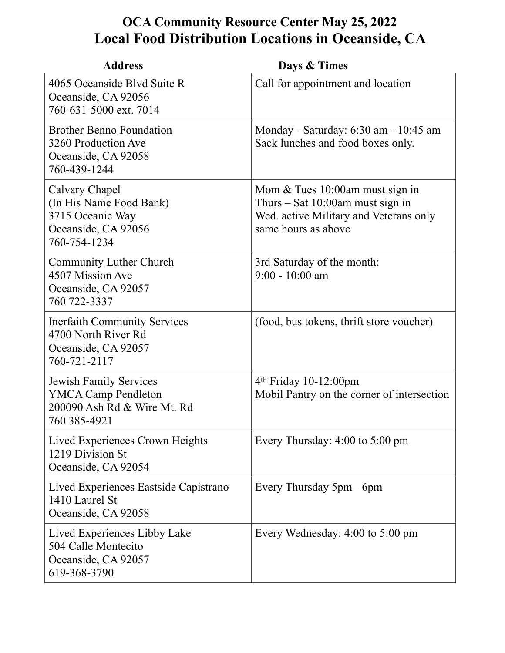## **OCA Community Resource Center May 25, 2022 Local Food Distribution Locations in Oceanside, CA**

| <b>Address</b>                                                                                             | Days & Times                                                                                                                             |
|------------------------------------------------------------------------------------------------------------|------------------------------------------------------------------------------------------------------------------------------------------|
| 4065 Oceanside Blyd Suite R<br>Oceanside, CA 92056<br>760-631-5000 ext. 7014                               | Call for appointment and location                                                                                                        |
| <b>Brother Benno Foundation</b><br>3260 Production Ave<br>Oceanside, CA 92058<br>760-439-1244              | Monday - Saturday: 6:30 am - 10:45 am<br>Sack lunches and food boxes only.                                                               |
| Calvary Chapel<br>(In His Name Food Bank)<br>3715 Oceanic Way<br>Oceanside, CA 92056<br>760-754-1234       | Mom $&$ Tues 10:00am must sign in<br>Thurs $-$ Sat 10:00am must sign in<br>Wed. active Military and Veterans only<br>same hours as above |
| Community Luther Church<br>4507 Mission Ave<br>Oceanside, CA 92057<br>760 722-3337                         | 3rd Saturday of the month:<br>$9:00 - 10:00$ am                                                                                          |
| <b>Inerfaith Community Services</b><br>4700 North River Rd<br>Oceanside, CA 92057<br>760-721-2117          | (food, bus tokens, thrift store voucher)                                                                                                 |
| <b>Jewish Family Services</b><br><b>YMCA Camp Pendleton</b><br>200090 Ash Rd & Wire Mt. Rd<br>760 385-4921 | 4 <sup>th</sup> Friday 10-12:00pm<br>Mobil Pantry on the corner of intersection                                                          |
| Lived Experiences Crown Heights<br>1219 Division St<br>Oceanside, CA 92054                                 | Every Thursday: $4:00$ to $5:00$ pm                                                                                                      |
| Lived Experiences Eastside Capistrano<br>1410 Laurel St<br>Oceanside, CA 92058                             | Every Thursday 5pm - 6pm                                                                                                                 |
| Lived Experiences Libby Lake<br>504 Calle Montecito<br>Oceanside, CA 92057<br>619-368-3790                 | Every Wednesday: $4:00$ to $5:00$ pm                                                                                                     |